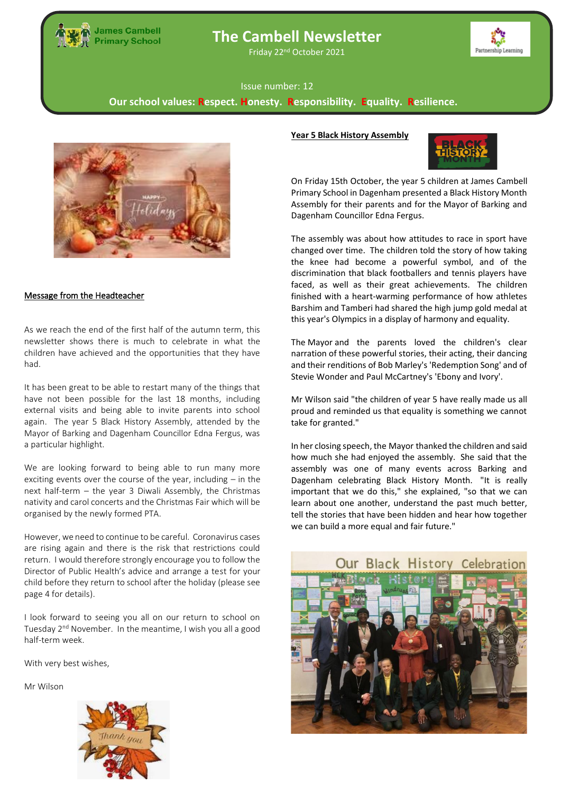

# **The Cambell Newsletter**

Friday 22nd October 2021



#### Issue number: 12

**Our school values: Respect. Honesty. Responsibility. Equality. Resilience.**



### Message from the Headteacher

As we reach the end of the first half of the autumn term, this newsletter shows there is much to celebrate in what the children have achieved and the opportunities that they have had.

Mayor of Barking and Dagenham Councillor Edna Fergus, was<br>constituted bightight It has been great to be able to restart many of the things that have not been possible for the last 18 months, including external visits and being able to invite parents into school again. The year 5 Black History Assembly, attended by the a particular highlight.

**The state is considered to being able to full marry more** exciting events over the course of the year, including – in the nativity and carol concerts and the Christmas Fair which will be organised by the newly formed PTA. We are looking forward to being able to run many more next half-term – the year 3 Diwali Assembly, the Christmas

However, we need to continue to be careful. Coronavirus cases are rising again and there is the risk that restrictions could return. I would therefore strongly encourage you to follow the Director of Public Health's advice and arrange a test for your child before they return to school after the holiday (please see page 4 for details).

I look forward to seeing you all on our return to school on Tuesday 2<sup>nd</sup> November. In the meantime, I wish you all a good half-term week.

With very best wishes,

Mr Wilson



## **Year 5 Black History Assembly**



On Friday 15th October, the year 5 children at James Cambell Primary School in Dagenham presented a Black History Month Assembly for their parents and for the Mayor of Barking and Dagenham Councillor Edna Fergus.

The assembly was about how attitudes to race in sport have changed over time. The children told the story of how taking the knee had become a powerful symbol, and of the discrimination that black footballers and tennis players have faced, as well as their great achievements. The children finished with a heart-warming performance of how athletes Barshim and Tamberi had shared the high jump gold medal at this year's Olympics in a display of harmony and equality.

The Mayor and the parents loved the children's clear narration of these powerful stories, their acting, their dancing and their renditions of Bob Marley's 'Redemption Song' and of Stevie Wonder and Paul McCartney's 'Ebony and Ivory'.

Mr Wilson said "the children of year 5 have really made us all proud and reminded us that equality is something we cannot take for granted."

In her closing speech, the Mayor thanked the children and said how much she had enjoyed the assembly. She said that the assembly was one of many events across Barking and Dagenham celebrating Black History Month. "It is really important that we do this," she explained, "so that we can learn about one another, understand the past much better, tell the stories that have been hidden and hear how together we can build a more equal and fair future."

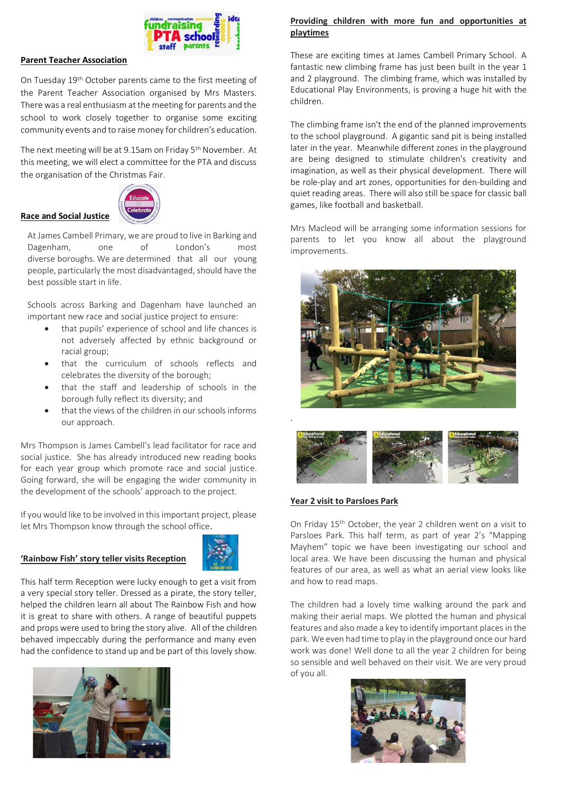

## **Parent Teacher Association**

On Tuesday 19th October parents came to the first meeting of the Parent Teacher Association organised by Mrs Masters. There was a real enthusiasm at the meeting for parents and the school to work closely together to organise some exciting community events and to raise money for children's education.

The next meeting will be at 9.15am on Friday 5<sup>th</sup> November. At this meeting, we will elect a committee for the PTA and discuss the organisation of the Christmas Fair.



At James Cambell Primary, we are proud to live in Barking and Dagenham, one of London's most diverse boroughs. We are determined that all our young people, particularly the most disadvantaged, should have the best possible start in life.

Schools across Barking and Dagenham have launched an important new race and social justice project to ensure:

- that pupils' experience of school and life chances is not adversely affected by ethnic background or racial group;
- that the curriculum of schools reflects and celebrates the diversity of the borough;
- that the staff and leadership of schools in the borough fully reflect its diversity; and
- that the views of the children in our schools informs our approach.

Mrs Thompson is James Cambell's lead facilitator for race and social justice. She has already introduced new reading books for each year group which promote race and social justice. Going forward, she will be engaging the wider community in the development of the schools' approach to the project.

If you would like to be involved in this important project, please let Mrs Thompson know through the school office.

#### **'Rainbow Fish' story teller visits Reception**



This half term Reception were lucky enough to get a visit from a very special story teller. Dressed as a pirate, the story teller, helped the children learn all about The Rainbow Fish and how it is great to share with others. A range of beautiful puppets and props were used to bring the story alive. All of the children behaved impeccably during the performance and many even had the confidence to stand up and be part of this lovely show.



## **Providing children with more fun and opportunities at playtimes**

These are exciting times at James Cambell Primary School. A fantastic new climbing frame has just been built in the year 1 and 2 playground. The climbing frame, which was installed by Educational Play Environments, is proving a huge hit with the children.

The climbing frame isn't the end of the planned improvements to the school playground. A gigantic sand pit is being installed later in the year. Meanwhile different zones in the playground are being designed to stimulate children's creativity and imagination, as well as their physical development. There will be role-play and art zones, opportunities for den-building and quiet reading areas. There will also still be space for classic ball games, like football and basketball.

Mrs Macleod will be arranging some information sessions for parents to let you know all about the playground improvements.





#### **Year 2 visit to Parsloes Park**

On Friday 15th October, the year 2 children went on a visit to Parsloes Park. This half term, as part of year 2's "Mapping Mayhem" topic we have been investigating our school and local area. We have been discussing the human and physical features of our area, as well as what an aerial view looks like and how to read maps.

The children had a lovely time walking around the park and making their aerial maps. We plotted the human and physical features and also made a key to identify important places in the park. We even had time to play in the playground once our hard work was done! Well done to all the year 2 children for being so sensible and well behaved on their visit. We are very proud of you all.

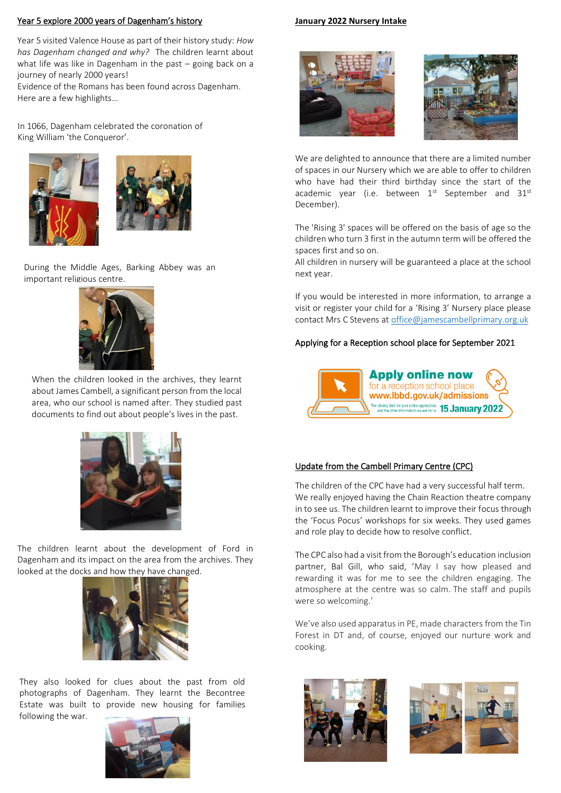## Year 5 explore 2000 years of Dagenham's history

Year 5 visited Valence House as part of their history study: *How has Dagenham changed and why?* The children learnt about what life was like in Dagenham in the past – going back on a journey of nearly 2000 years!

Evidence of the Romans has been found across Dagenham. Here are a few highlights…

In 1066, Dagenham celebrated the coronation of King William 'the Conqueror'.





During the Middle Ages, Barking Abbey was an important religious centre.



When the children looked in the archives, they learnt about James Cambell, a significant person from the local area, who our school is named after. They studied past documents to find out about people's lives in the past.



The children learnt about the development of Ford in Dagenham and its impact on the area from the archives. They looked at the docks and how they have changed.



They also looked for clues about the past from old photographs of Dagenham. They learnt the Becontree Estate was built to provide new housing for families following the war.



#### **January 2022 Nursery Intake**





We are delighted to announce that there are a limited number of spaces in our Nursery which we are able to offer to children who have had their third birthday since the start of the academic year (i.e. between  $1<sup>st</sup>$  September and 31 $<sup>st</sup>$ </sup> December).

The 'Rising 3' spaces will be offered on the basis of age so the children who turn 3 first in the autumn term will be offered the spaces first and so on.

All children in nursery will be guaranteed a place at the school next year.

If you would be interested in more information, to arrange a visit or register your child for a 'Rising 3' Nursery place please contact Mrs C Stevens a[t office@jamescambellprimary.org.uk](mailto:office@jamescambellprimary.org.uk)

## Applying for a Reception school place for September 2021



## Update from the Cambell Primary Centre (CPC)

The children of the CPC have had a very successful half term. We really enjoyed having the Chain Reaction theatre company in to see us. The children learnt to improve their focus through the 'Focus Pocus' workshops for six weeks. They used games and role play to decide how to resolve conflict.

The CPC also had a visit from the Borough's education inclusion partner, Bal Gill, who said, 'May I say how pleased and rewarding it was for me to see the children engaging. The atmosphere at the centre was so calm. The staff and pupils were so welcoming.'

We've also used apparatus in PE, made characters from the Tin Forest in DT and, of course, enjoyed our nurture work and cooking.